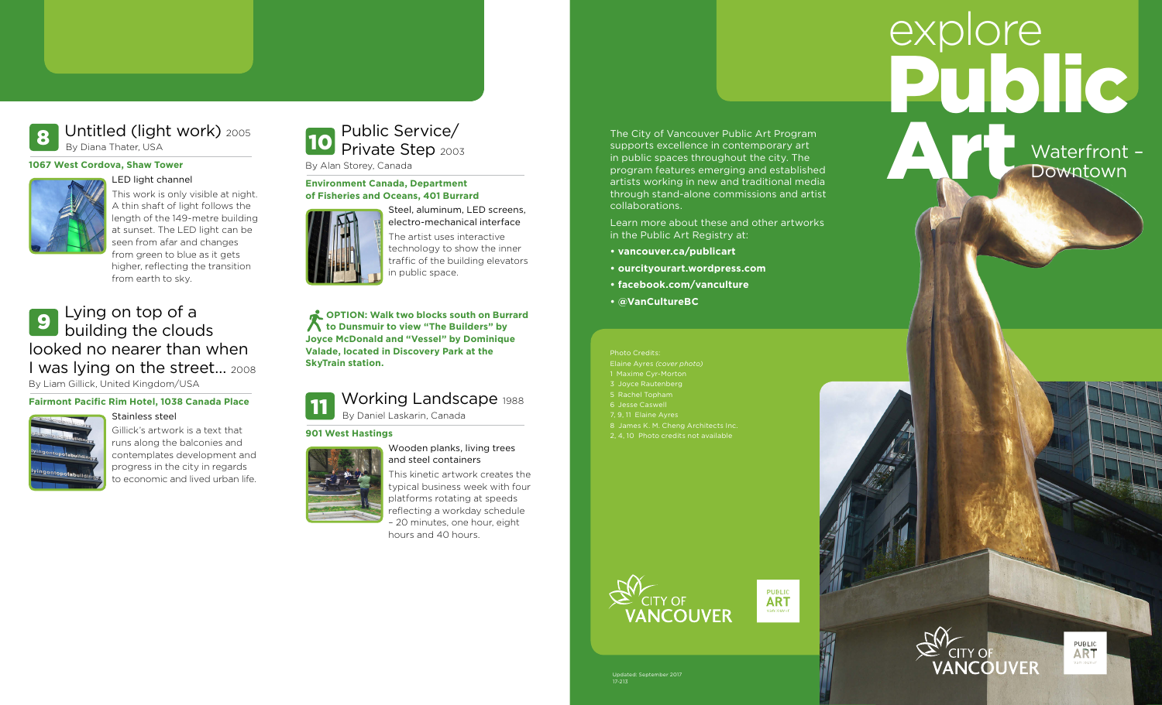# Public Art explore

# Waterfront – **Downtown**

#### Untitled (light work) <sup>2005</sup> By Diana Thater, USA 8

#### **1067 West Cordova, Shaw Tower**



# This work is only visible at night. A thin shaft of light follows the length of the 149-metre building at sunset. The LED light can be

seen from afar and changes from green to blue as it gets higher, reflecting the transition from earth to sky.

### Lying on top of a building the clouds looked no nearer than when I was lying on the street… <sup>2008</sup> By Liam Gillick, United Kingdom/USA 9

## **Fairmont Pacific Rim Hotel, 1038 Canada Place**



Gillick's artwork is a text that runs along the balconies and contemplates development and progress in the city in regards to economic and lived urban life.

#### Public Service/ Private Step 2003 By Alan Storey, Canada 10

#### **Environment Canada, Department of Fisheries and Oceans, 401 Burrard**



Steel, aluminum, LED screens, electro-mechanical interface The artist uses interactive technology to show the inner traffic of the building elevators in public space.

**COPTION: Walk two blocks south on Burrard to Dunsmuir to view "The Builders" by Joyce McDonald and "Vessel" by Dominique Valade, located in Discovery Park at the SkyTrain station.**

#### Working Landscape 1988 By Daniel Laskarin, Canada 11

**901 West Hastings**



and steel containers This kinetic artwork creates the typical business week with four platforms rotating at speeds reflecting a workday schedule

– 20 minutes, one hour, eight hours and 40 hours.

The City of Vancouver Public Art Program supports excellence in contemporary art in public spaces throughout the city. The program features emerging and established artists working in new and traditional media through stand-alone commissions and artist collaborations.

Learn more about these and other artworks in the Public Art Registry at:

- **• vancouver.ca/publicart**
- **• ourcityourart.wordpress.com**
- **• facebook.com/vanculture**
- **• @VanCultureBC**

Photo Credits: Elaine Ayres *(cover photo)* 1 Maxime Cyr-Morton 3 Joyce Rautenberg 5 Rachel Topham 7, 9, 11 Elaine Ayres 8 James K. M. Cheng Architects Inc. 2, 4, 10 Photo credits not available



**PUBLIC** 





Updated: September 2017 17-213